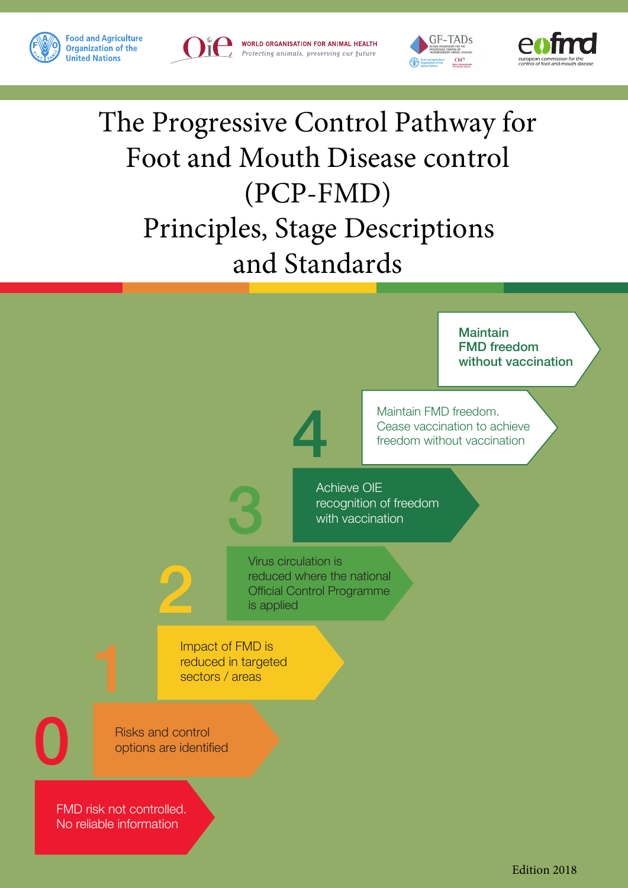

WORLD ORGANISATION FOR ANIMAL HEALTH Protecting animals, preserving our future





# The Progressive Control Pathway for Foot and Mouth Disease control (PCP-FMD) Principles, Stage Descriptions and Standards

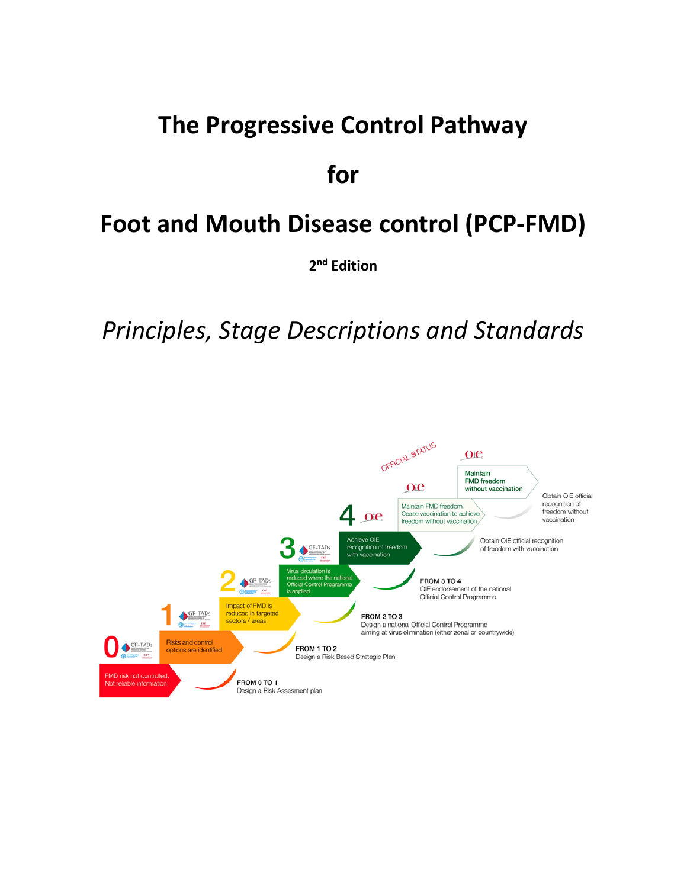# **The Progressive Control Pathway**

# **for**

# **Foot and Mouth Disease control (PCP-FMD)**

**2nd Edition** 

*Principles, Stage Descriptions and Standards*

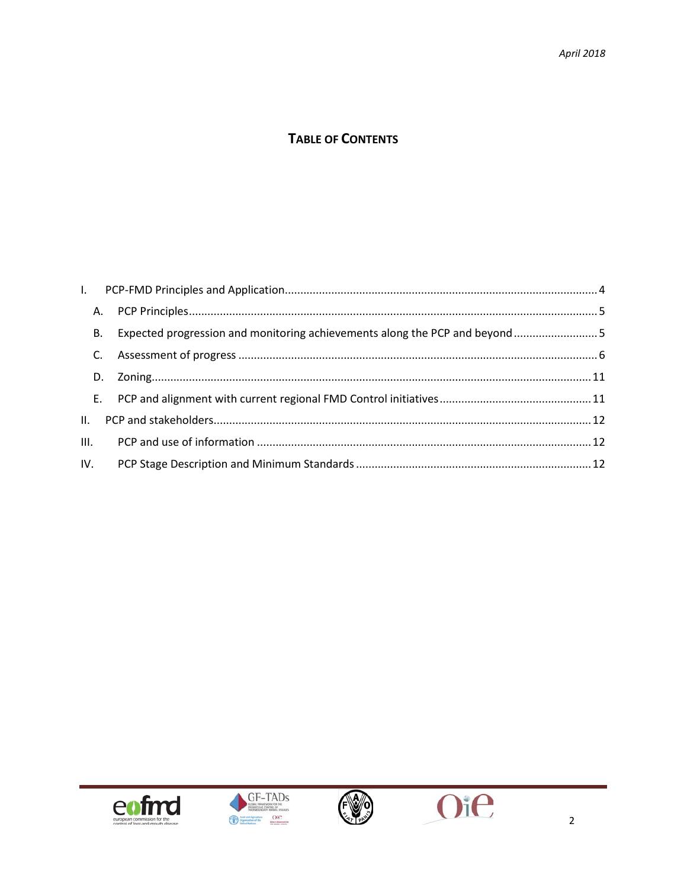# **TABLE OF CONTENTS**

| <b>B.</b> |  |
|-----------|--|
| C.        |  |
|           |  |
|           |  |
| II.       |  |
|           |  |
|           |  |







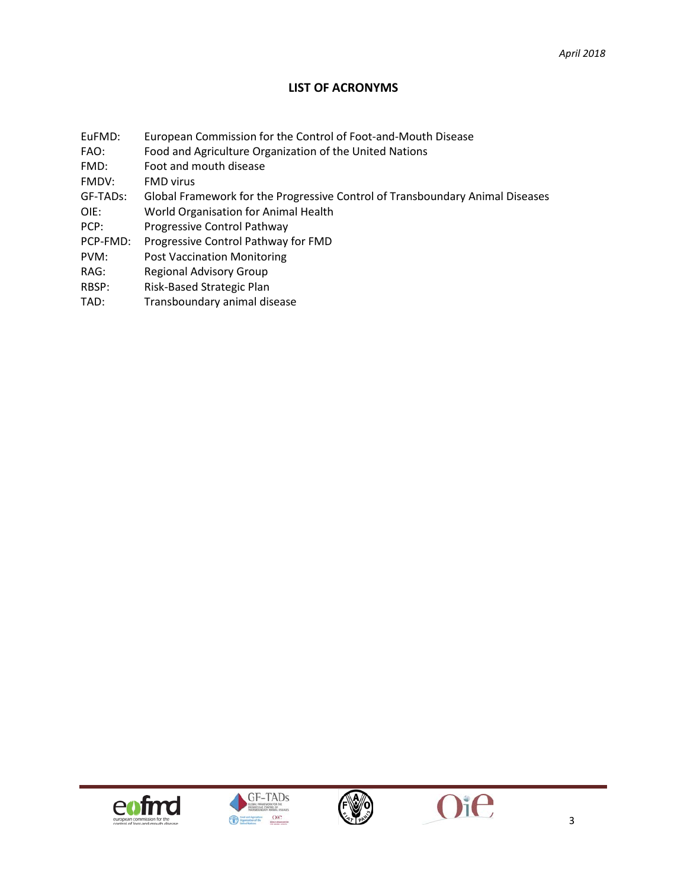#### **LIST OF ACRONYMS**

- EuFMD: European Commission for the Control of Foot-and-Mouth Disease
- FAO: Food and Agriculture Organization of the United Nations
- FMD: Foot and mouth disease

FMDV: FMD virus

- GF-TADs: Global Framework for the Progressive Control of Transboundary Animal Diseases
- OIE: World Organisation for Animal Health
- PCP: Progressive Control Pathway
- PCP-FMD: Progressive Control Pathway for FMD
- PVM: Post Vaccination Monitoring
- RAG: Regional Advisory Group
- RBSP: Risk-Based Strategic Plan
- TAD: Transboundary animal disease







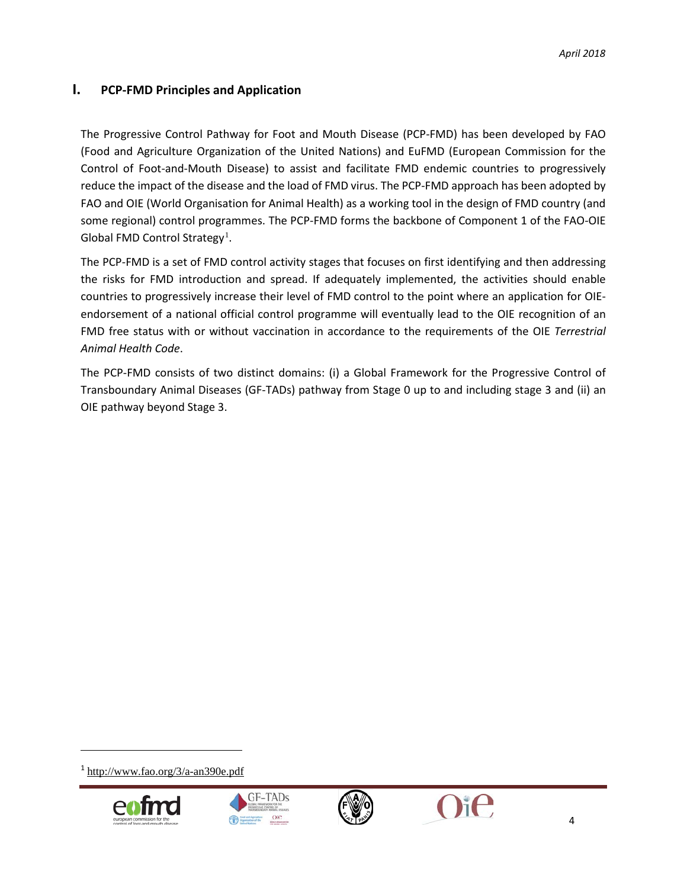### <span id="page-4-0"></span>**I. PCP-FMD Principles and Application**

The Progressive Control Pathway for Foot and Mouth Disease (PCP-FMD) has been developed by FAO (Food and Agriculture Organization of the United Nations) and EuFMD (European Commission for the Control of Foot-and-Mouth Disease) to assist and facilitate FMD endemic countries to progressively reduce the impact of the disease and the load of FMD virus. The PCP-FMD approach has been adopted by FAO and OIE (World Organisation for Animal Health) as a working tool in the design of FMD country (and some regional) control programmes. The PCP-FMD forms the backbone of Component 1 of the FAO-OIE Global FMD Control Strategy<sup>[1](#page-4-1)</sup>.

The PCP-FMD is a set of FMD control activity stages that focuses on first identifying and then addressing the risks for FMD introduction and spread. If adequately implemented, the activities should enable countries to progressively increase their level of FMD control to the point where an application for OIEendorsement of a national official control programme will eventually lead to the OIE recognition of an FMD free status with or without vaccination in accordance to the requirements of the OIE *Terrestrial Animal Health Code*.

The PCP-FMD consists of two distinct domains: (i) a Global Framework for the Progressive Control of Transboundary Animal Diseases (GF-TADs) pathway from Stage 0 up to and including stage 3 and (ii) an OIE pathway beyond Stage 3.

<span id="page-4-1"></span><sup>1</sup> <http://www.fao.org/3/a-an390e.pdf>







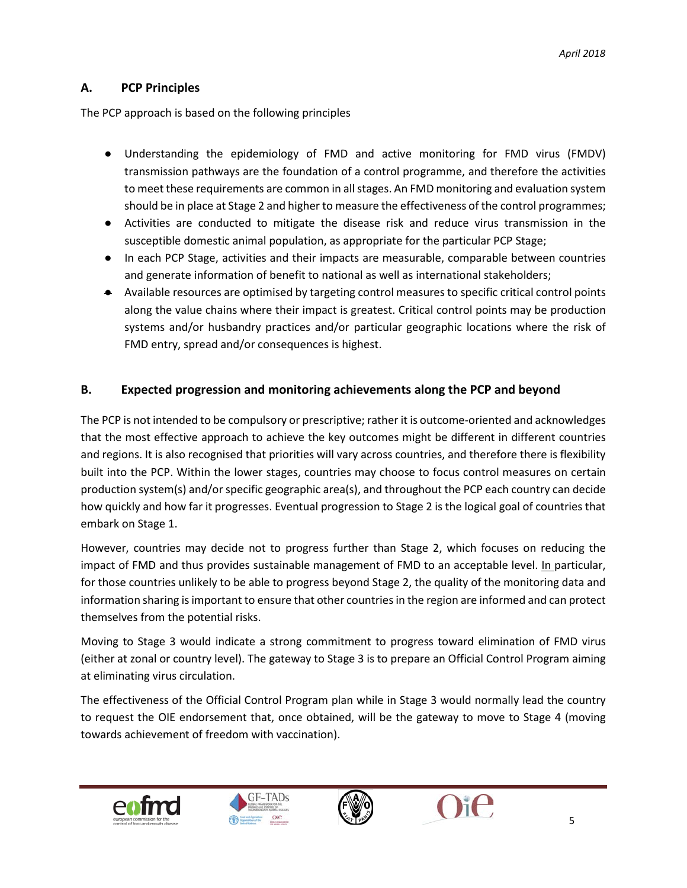### <span id="page-5-0"></span>**A. PCP Principles**

The PCP approach is based on the following principles

- Understanding the epidemiology of FMD and active monitoring for FMD virus (FMDV) transmission pathways are the foundation of a control programme, and therefore the activities to meet these requirements are common in all stages. An FMD monitoring and evaluation system should be in place at Stage 2 and higher to measure the effectiveness of the control programmes;
- Activities are conducted to mitigate the disease risk and reduce virus transmission in the susceptible domestic animal population, as appropriate for the particular PCP Stage;
- In each PCP Stage, activities and their impacts are measurable, comparable between countries and generate information of benefit to national as well as international stakeholders;
- Available resources are optimised by targeting control measures to specific critical control points along the value chains where their impact is greatest. Critical control points may be production systems and/or husbandry practices and/or particular geographic locations where the risk of FMD entry, spread and/or consequences is highest.

#### <span id="page-5-1"></span>**B. Expected progression and monitoring achievements along the PCP and beyond**

The PCP is not intended to be compulsory or prescriptive; rather it is outcome-oriented and acknowledges that the most effective approach to achieve the key outcomes might be different in different countries and regions. It is also recognised that priorities will vary across countries, and therefore there is flexibility built into the PCP. Within the lower stages, countries may choose to focus control measures on certain production system(s) and/or specific geographic area(s), and throughout the PCP each country can decide how quickly and how far it progresses. Eventual progression to Stage 2 is the logical goal of countries that embark on Stage 1.

However, countries may decide not to progress further than Stage 2, which focuses on reducing the impact of FMD and thus provides sustainable management of FMD to an acceptable level. In particular, for those countries unlikely to be able to progress beyond Stage 2, the quality of the monitoring data and information sharing is important to ensure that other countries in the region are informed and can protect themselves from the potential risks.

Moving to Stage 3 would indicate a strong commitment to progress toward elimination of FMD virus (either at zonal or country level). The gateway to Stage 3 is to prepare an Official Control Program aiming at eliminating virus circulation.

The effectiveness of the Official Control Program plan while in Stage 3 would normally lead the country to request the OIE endorsement that, once obtained, will be the gateway to move to Stage 4 (moving towards achievement of freedom with vaccination).







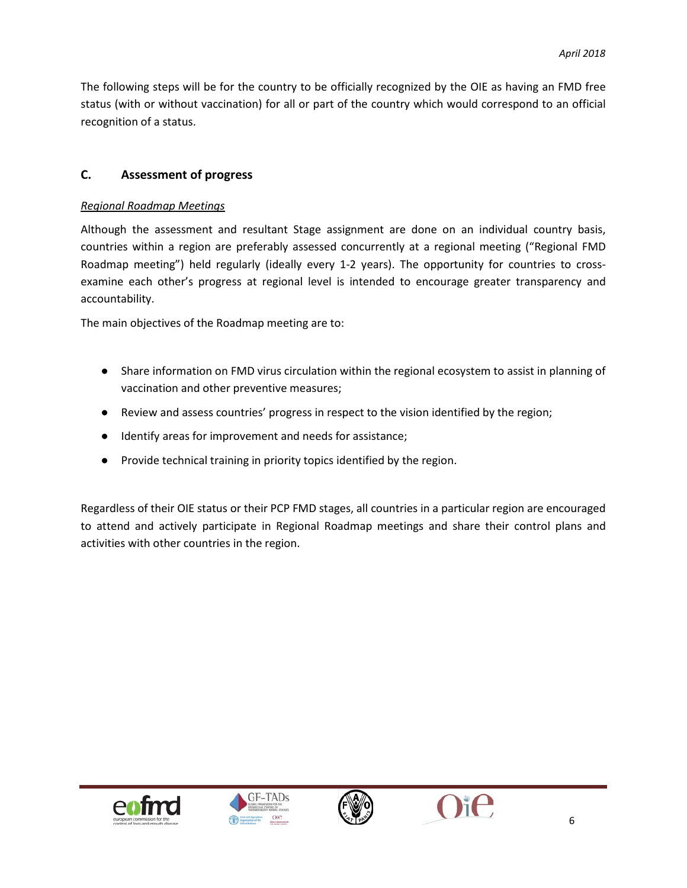The following steps will be for the country to be officially recognized by the OIE as having an FMD free status (with or without vaccination) for all or part of the country which would correspond to an official recognition of a status.

#### <span id="page-6-0"></span>**C. Assessment of progress**

#### *Regional Roadmap Meetings*

Although the assessment and resultant Stage assignment are done on an individual country basis, countries within a region are preferably assessed concurrently at a regional meeting ("Regional FMD Roadmap meeting") held regularly (ideally every 1-2 years). The opportunity for countries to crossexamine each other's progress at regional level is intended to encourage greater transparency and accountability.

The main objectives of the Roadmap meeting are to:

- Share information on FMD virus circulation within the regional ecosystem to assist in planning of vaccination and other preventive measures;
- Review and assess countries' progress in respect to the vision identified by the region;
- Identify areas for improvement and needs for assistance;
- Provide technical training in priority topics identified by the region.

Regardless of their OIE status or their PCP FMD stages, all countries in a particular region are encouraged to attend and actively participate in Regional Roadmap meetings and share their control plans and activities with other countries in the region.







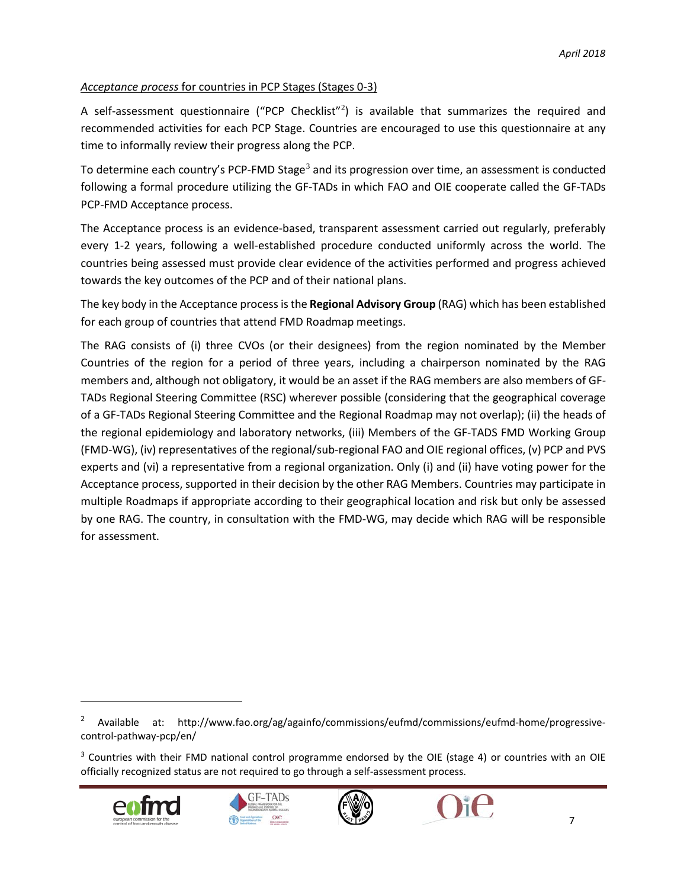#### *Acceptance process* for countries in PCP Stages (Stages 0-3)

A self-assessment questionnaire ("PCP Checklist"<sup>[2](#page-7-0)</sup>) is available that summarizes the required and recommended activities for each PCP Stage. Countries are encouraged to use this questionnaire at any time to informally review their progress along the PCP.

To determine each country's PCP-FMD Stage<sup>[3](#page-7-1)</sup> and its progression over time, an assessment is conducted following a formal procedure utilizing the GF-TADs in which FAO and OIE cooperate called the GF-TADs PCP-FMD Acceptance process.

The Acceptance process is an evidence-based, transparent assessment carried out regularly, preferably every 1-2 years, following a well-established procedure conducted uniformly across the world. The countries being assessed must provide clear evidence of the activities performed and progress achieved towards the key outcomes of the PCP and of their national plans.

The key body in the Acceptance process is the **Regional Advisory Group** (RAG) which has been established for each group of countries that attend FMD Roadmap meetings.

The RAG consists of (i) three CVOs (or their designees) from the region nominated by the Member Countries of the region for a period of three years, including a chairperson nominated by the RAG members and, although not obligatory, it would be an asset if the RAG members are also members of GF-TADs Regional Steering Committee (RSC) wherever possible (considering that the geographical coverage of a GF-TADs Regional Steering Committee and the Regional Roadmap may not overlap); (ii) the heads of the regional epidemiology and laboratory networks, (iii) Members of the GF-TADS FMD Working Group (FMD-WG), (iv) representatives of the regional/sub-regional FAO and OIE regional offices, (v) PCP and PVS experts and (vi) a representative from a regional organization. Only (i) and (ii) have voting power for the Acceptance process, supported in their decision by the other RAG Members. Countries may participate in multiple Roadmaps if appropriate according to their geographical location and risk but only be assessed by one RAG. The country, in consultation with the FMD-WG, may decide which RAG will be responsible for assessment.

<span id="page-7-1"></span> $3$  Countries with their FMD national control programme endorsed by the OIE (stage 4) or countries with an OIE officially recognized status are not required to go through a self-assessment process.









<span id="page-7-0"></span><sup>&</sup>lt;sup>2</sup> Available at: http://www.fao.org/ag/againfo/commissions/eufmd/commissions/eufmd-home/progressivecontrol-pathway-pcp/en/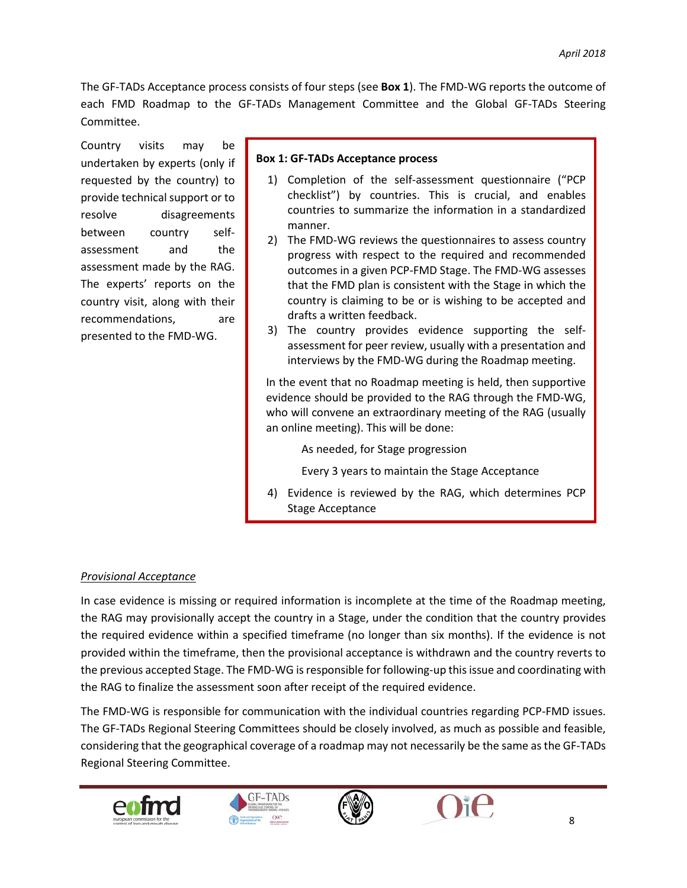The GF-TADs Acceptance process consists of four steps (see **Box 1**). The FMD-WG reports the outcome of each FMD Roadmap to the GF-TADs Management Committee and the Global GF-TADs Steering Committee.

Country visits may be undertaken by experts (only if requested by the country) to provide technical support or to resolve disagreements between country selfassessment and the assessment made by the RAG. The experts' reports on the country visit, along with their recommendations, are presented to the FMD-WG.

#### **Box 1: GF-TADs Acceptance process**

- 1) Completion of the self-assessment questionnaire ("PCP checklist") by countries. This is crucial, and enables countries to summarize the information in a standardized manner.
- 2) The FMD-WG reviews the questionnaires to assess country progress with respect to the required and recommended outcomes in a given PCP-FMD Stage. The FMD-WG assesses that the FMD plan is consistent with the Stage in which the country is claiming to be or is wishing to be accepted and drafts a written feedback.
- 3) The country provides evidence supporting the selfassessment for peer review, usually with a presentation and interviews by the FMD-WG during the Roadmap meeting.

In the event that no Roadmap meeting is held, then supportive evidence should be provided to the RAG through the FMD-WG, who will convene an extraordinary meeting of the RAG (usually an online meeting). This will be done:

As needed, for Stage progression

Every 3 years to maintain the Stage Acceptance

4) Evidence is reviewed by the RAG, which determines PCP Stage Acceptance

#### *Provisional Acceptance*

In case evidence is missing or required information is incomplete at the time of the Roadmap meeting, the RAG may provisionally accept the country in a Stage, under the condition that the country provides the required evidence within a specified timeframe (no longer than six months). If the evidence is not provided within the timeframe, then the provisional acceptance is withdrawn and the country reverts to the previous accepted Stage. The FMD-WG is responsible for following-up this issue and coordinating with the RAG to finalize the assessment soon after receipt of the required evidence.

The FMD-WG is responsible for communication with the individual countries regarding PCP-FMD issues. The GF-TADs Regional Steering Committees should be closely involved, as much as possible and feasible, considering that the geographical coverage of a roadmap may not necessarily be the same as the GF-TADs Regional Steering Committee.







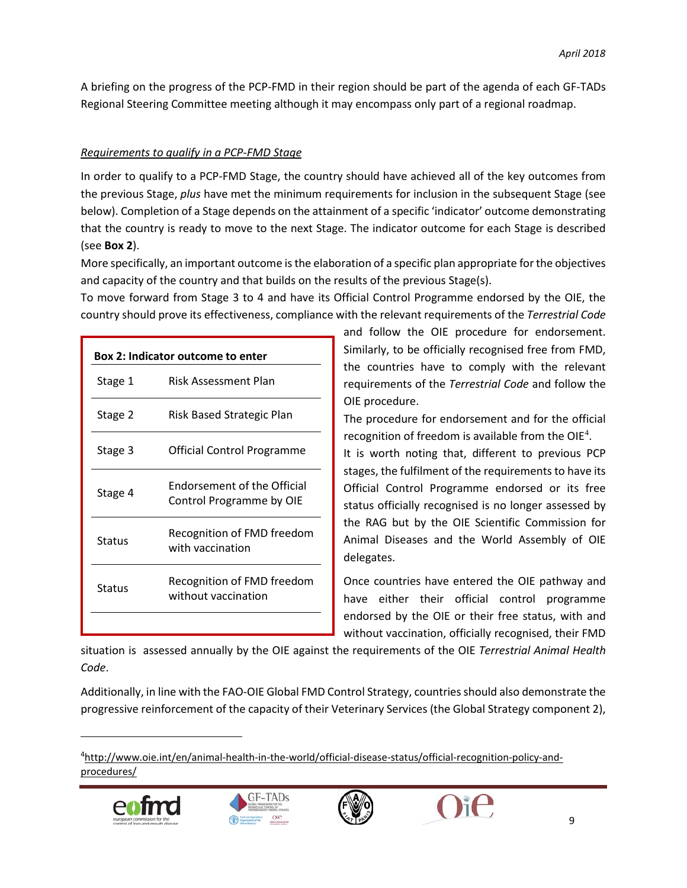A briefing on the progress of the PCP-FMD in their region should be part of the agenda of each GF-TADs Regional Steering Committee meeting although it may encompass only part of a regional roadmap.

#### *Requirements to qualify in a PCP-FMD Stage*

In order to qualify to a PCP-FMD Stage, the country should have achieved all of the key outcomes from the previous Stage, *plus* have met the minimum requirements for inclusion in the subsequent Stage (see below). Completion of a Stage depends on the attainment of a specific 'indicator' outcome demonstrating that the country is ready to move to the next Stage. The indicator outcome for each Stage is described (see **Box 2**).

More specifically, an important outcome is the elaboration of a specific plan appropriate for the objectives and capacity of the country and that builds on the results of the previous Stage(s).

To move forward from Stage 3 to 4 and have its Official Control Programme endorsed by the OIE, the country should prove its effectiveness, compliance with the relevant requirements of the *Terrestrial Code*

| <b>Box 2: Indicator outcome to enter</b> |                                                         |  |  |  |  |
|------------------------------------------|---------------------------------------------------------|--|--|--|--|
| Stage 1                                  | Risk Assessment Plan                                    |  |  |  |  |
| Stage 2                                  | Risk Based Strategic Plan                               |  |  |  |  |
| Stage 3                                  | Official Control Programme                              |  |  |  |  |
| Stage 4                                  | Endorsement of the Official<br>Control Programme by OIE |  |  |  |  |
| Status                                   | Recognition of FMD freedom<br>with vaccination          |  |  |  |  |
| Status                                   | Recognition of FMD freedom<br>without vaccination       |  |  |  |  |
|                                          |                                                         |  |  |  |  |

and follow the OIE procedure for endorsement. Similarly, to be officially recognised free from FMD, the countries have to comply with the relevant requirements of the *Terrestrial Code* and follow the OIE procedure.

The procedure for endorsement and for the official recognition of freedom is available from the OIE<sup>[4](#page-9-0)</sup>.

It is worth noting that, different to previous PCP stages, the fulfilment of the requirements to have its Official Control Programme endorsed or its free status officially recognised is no longer assessed by the RAG but by the OIE Scientific Commission for Animal Diseases and the World Assembly of OIE delegates.

Once countries have entered the OIE pathway and have either their official control programme endorsed by the OIE or their free status, with and without vaccination, officially recognised, their FMD

situation is assessed annually by the OIE against the requirements of the OIE *Terrestrial Animal Health Code*.

Additionally, in line with the FAO-OIE Global FMD Control Strategy, countries should also demonstrate the progressive reinforcement of the capacity of their Veterinary Services (the Global Strategy component 2),

<span id="page-9-0"></span><sup>&</sup>lt;sup>4</sup>[http://www.oie.int/en/animal-health-in-the-world/official-disease-status/official-recognition-policy-and](http://www.oie.int/en/animal-health-in-the-world/official-disease-status/official-recognition-policy-and-procedures/)[procedures/](http://www.oie.int/en/animal-health-in-the-world/official-disease-status/official-recognition-policy-and-procedures/)







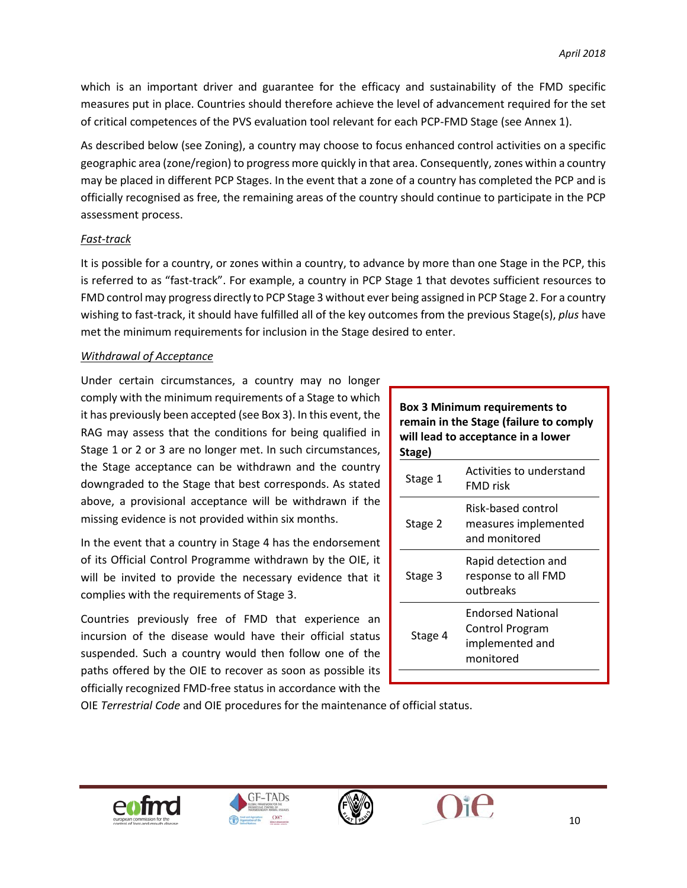which is an important driver and guarantee for the efficacy and sustainability of the FMD specific measures put in place. Countries should therefore achieve the level of advancement required for the set of critical competences of the PVS evaluation tool relevant for each PCP-FMD Stage (see Annex 1).

As described below (see Zoning), a country may choose to focus enhanced control activities on a specific geographic area (zone/region) to progress more quickly in that area. Consequently, zones within a country may be placed in different PCP Stages. In the event that a zone of a country has completed the PCP and is officially recognised as free, the remaining areas of the country should continue to participate in the PCP assessment process.

#### *Fast-track*

It is possible for a country, or zones within a country, to advance by more than one Stage in the PCP, this is referred to as "fast-track". For example, a country in PCP Stage 1 that devotes sufficient resources to FMD control may progress directly to PCP Stage 3 without ever being assigned in PCP Stage 2. For a country wishing to fast-track, it should have fulfilled all of the key outcomes from the previous Stage(s), *plus* have met the minimum requirements for inclusion in the Stage desired to enter.

#### *Withdrawal of Acceptance*

Under certain circumstances, a country may no longer comply with the minimum requirements of a Stage to which it has previously been accepted (see Box 3). In this event, the RAG may assess that the conditions for being qualified in Stage 1 or 2 or 3 are no longer met. In such circumstances, the Stage acceptance can be withdrawn and the country downgraded to the Stage that best corresponds. As stated above, a provisional acceptance will be withdrawn if the missing evidence is not provided within six months.

In the event that a country in Stage 4 has the endorsement of its Official Control Programme withdrawn by the OIE, it will be invited to provide the necessary evidence that it complies with the requirements of Stage 3.

Countries previously free of FMD that experience an incursion of the disease would have their official status suspended. Such a country would then follow one of the paths offered by the OIE to recover as soon as possible its officially recognized FMD-free status in accordance with the

#### **Box 3 Minimum requirements to remain in the Stage (failure to comply will lead to acceptance in a lower Stage)**

| י פשי   |                                                                             |
|---------|-----------------------------------------------------------------------------|
| Stage 1 | Activities to understand<br>FMD risk                                        |
| Stage 2 | Risk-based control<br>measures implemented<br>and monitored                 |
| Stage 3 | Rapid detection and<br>response to all FMD<br>outbreaks                     |
| Stage 4 | <b>Endorsed National</b><br>Control Program<br>implemented and<br>monitored |
|         |                                                                             |

OIE *Terrestrial Code* and OIE procedures for the maintenance of official status.





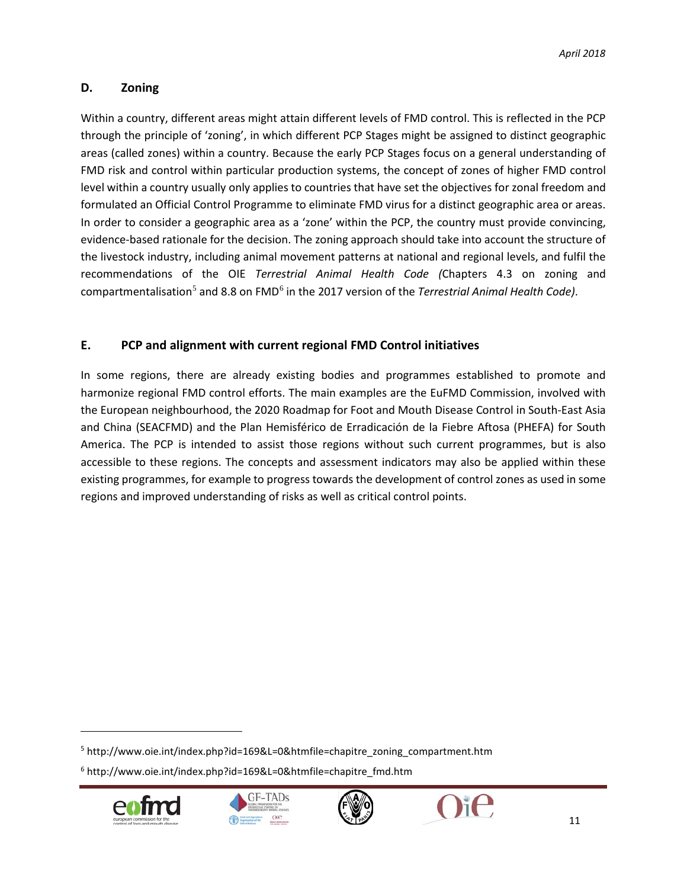#### <span id="page-11-0"></span>**D. Zoning**

Within a country, different areas might attain different levels of FMD control. This is reflected in the PCP through the principle of 'zoning', in which different PCP Stages might be assigned to distinct geographic areas (called zones) within a country. Because the early PCP Stages focus on a general understanding of FMD risk and control within particular production systems, the concept of zones of higher FMD control level within a country usually only applies to countries that have set the objectives for zonal freedom and formulated an Official Control Programme to eliminate FMD virus for a distinct geographic area or areas. In order to consider a geographic area as a 'zone' within the PCP, the country must provide convincing, evidence-based rationale for the decision. The zoning approach should take into account the structure of the livestock industry, including animal movement patterns at national and regional levels, and fulfil the recommendations of the OIE *Terrestrial Animal Health Code (*Chapters 4.3 on zoning and compartmentalisation[5](#page-11-2) and 8.8 on FMD[6](#page-11-3) in the 2017 version of the *Terrestrial Animal Health Code)*.

#### <span id="page-11-1"></span>**E. PCP and alignment with current regional FMD Control initiatives**

In some regions, there are already existing bodies and programmes established to promote and harmonize regional FMD control efforts. The main examples are the EuFMD Commission, involved with the European neighbourhood, the 2020 Roadmap for Foot and Mouth Disease Control in South-East Asia and China (SEACFMD) and the Plan Hemisférico de Erradicación de la Fiebre Aftosa (PHEFA) for South America. The PCP is intended to assist those regions without such current programmes, but is also accessible to these regions. The concepts and assessment indicators may also be applied within these existing programmes, for example to progress towards the development of control zones as used in some regions and improved understanding of risks as well as critical control points.

<span id="page-11-3"></span><sup>6</sup> http://www.oie.int/index.php?id=169&L=0&htmfile=chapitre\_fmd.htm



l







<span id="page-11-2"></span><sup>5</sup> http://www.oie.int/index.php?id=169&L=0&htmfile=chapitre\_zoning\_compartment.htm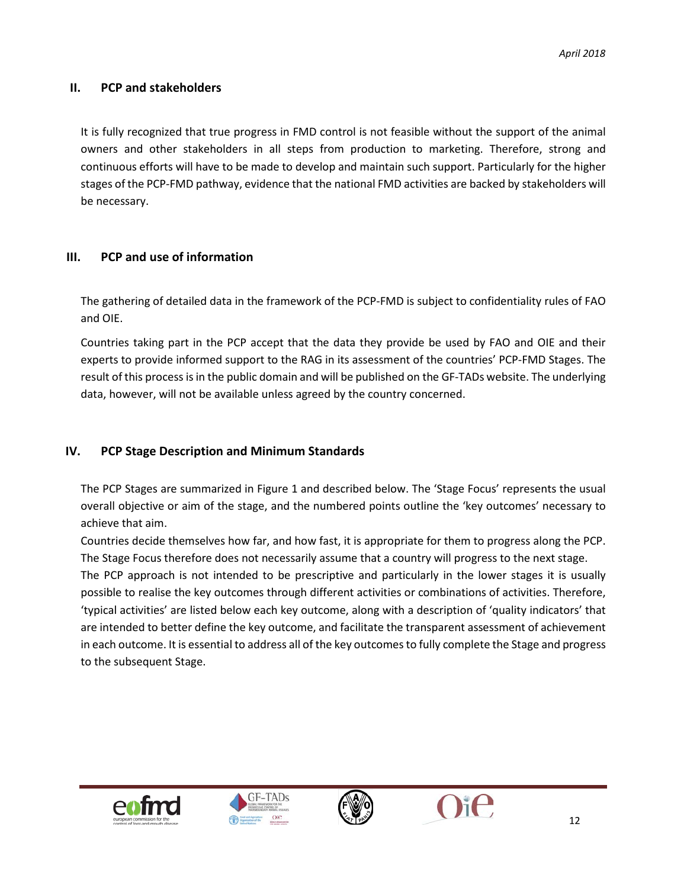#### <span id="page-12-0"></span>**II. PCP and stakeholders**

It is fully recognized that true progress in FMD control is not feasible without the support of the animal owners and other stakeholders in all steps from production to marketing. Therefore, strong and continuous efforts will have to be made to develop and maintain such support. Particularly for the higher stages of the PCP-FMD pathway, evidence that the national FMD activities are backed by stakeholders will be necessary.

#### <span id="page-12-1"></span>**III. PCP and use of information**

The gathering of detailed data in the framework of the PCP-FMD is subject to confidentiality rules of FAO and OIE.

Countries taking part in the PCP accept that the data they provide be used by FAO and OIE and their experts to provide informed support to the RAG in its assessment of the countries' PCP-FMD Stages. The result of this process is in the public domain and will be published on the GF-TADs website. The underlying data, however, will not be available unless agreed by the country concerned.

#### <span id="page-12-2"></span>**IV. PCP Stage Description and Minimum Standards**

The PCP Stages are summarized in Figure 1 and described below. The 'Stage Focus' represents the usual overall objective or aim of the stage, and the numbered points outline the 'key outcomes' necessary to achieve that aim.

Countries decide themselves how far, and how fast, it is appropriate for them to progress along the PCP. The Stage Focus therefore does not necessarily assume that a country will progress to the next stage.

The PCP approach is not intended to be prescriptive and particularly in the lower stages it is usually possible to realise the key outcomes through different activities or combinations of activities. Therefore, 'typical activities' are listed below each key outcome, along with a description of 'quality indicators' that are intended to better define the key outcome, and facilitate the transparent assessment of achievement in each outcome. It is essential to address all of the key outcomes to fully complete the Stage and progress to the subsequent Stage.







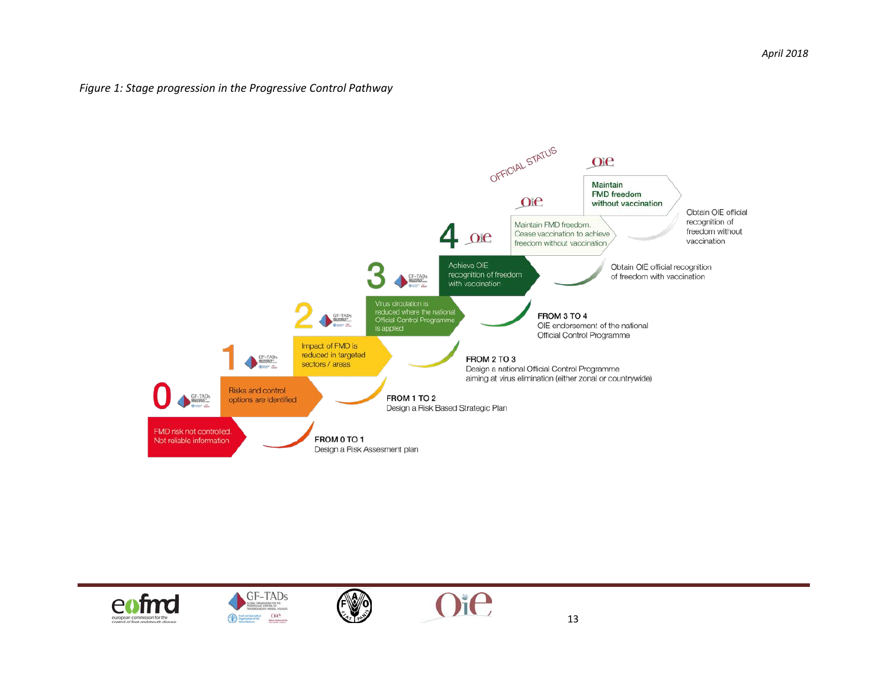#### *Figure 1: Stage progression in the Progressive Control Pathway*







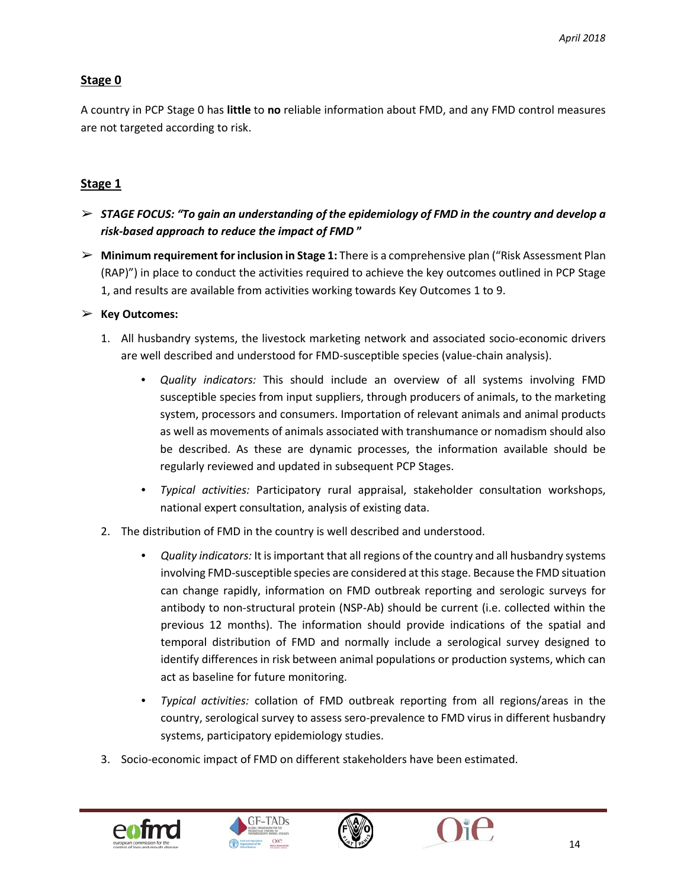#### **Stage 0**

A country in PCP Stage 0 has **little** to **no** reliable information about FMD, and any FMD control measures are not targeted according to risk.

#### **Stage 1**

- ➢ *STAGE FOCUS: "To gain an understanding of the epidemiology of FMD in the country and develop a risk-based approach to reduce the impact of FMD* **"**
- ➢ **Minimum requirement for inclusion in Stage 1:** There is a comprehensive plan ("Risk Assessment Plan (RAP)") in place to conduct the activities required to achieve the key outcomes outlined in PCP Stage 1, and results are available from activities working towards Key Outcomes 1 to 9.

#### ➢ **Key Outcomes:**

- 1. All husbandry systems, the livestock marketing network and associated socio-economic drivers are well described and understood for FMD-susceptible species (value-chain analysis).
	- *Quality indicators:* This should include an overview of all systems involving FMD susceptible species from input suppliers, through producers of animals, to the marketing system, processors and consumers. Importation of relevant animals and animal products as well as movements of animals associated with transhumance or nomadism should also be described. As these are dynamic processes, the information available should be regularly reviewed and updated in subsequent PCP Stages.
	- *Typical activities:* Participatory rural appraisal, stakeholder consultation workshops, national expert consultation, analysis of existing data.
- 2. The distribution of FMD in the country is well described and understood.
	- *Quality indicators:* It is important that all regions of the country and all husbandry systems involving FMD-susceptible species are considered at this stage. Because the FMD situation can change rapidly, information on FMD outbreak reporting and serologic surveys for antibody to non-structural protein (NSP-Ab) should be current (i.e. collected within the previous 12 months). The information should provide indications of the spatial and temporal distribution of FMD and normally include a serological survey designed to identify differences in risk between animal populations or production systems, which can act as baseline for future monitoring.
	- *Typical activities:* collation of FMD outbreak reporting from all regions/areas in the country, serological survey to assess sero-prevalence to FMD virus in different husbandry systems, participatory epidemiology studies.
- 3. Socio-economic impact of FMD on different stakeholders have been estimated.





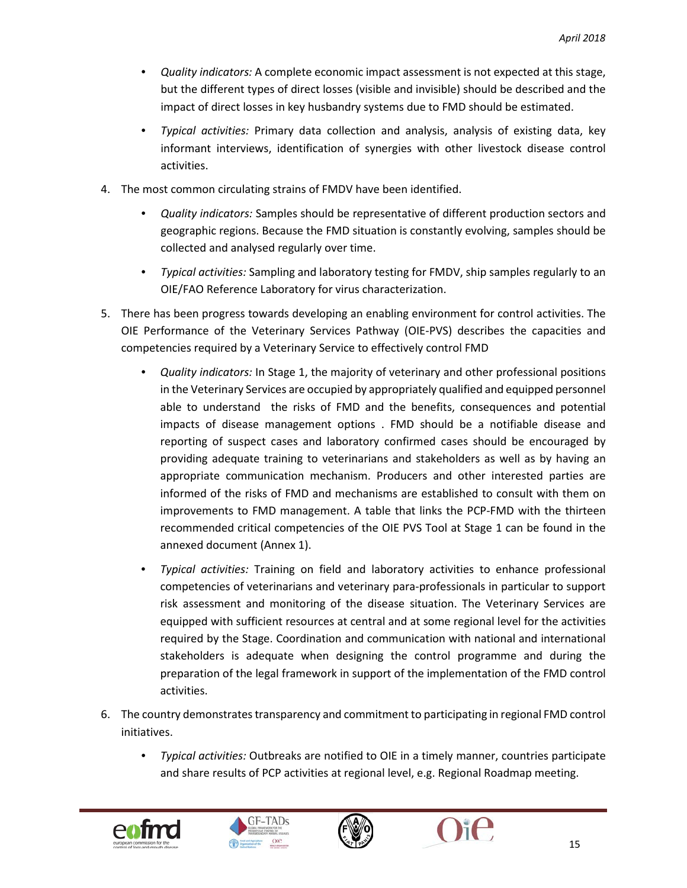- *Quality indicators:* A complete economic impact assessment is not expected at this stage, but the different types of direct losses (visible and invisible) should be described and the impact of direct losses in key husbandry systems due to FMD should be estimated.
- *Typical activities:* Primary data collection and analysis, analysis of existing data, key informant interviews, identification of synergies with other livestock disease control activities.
- 4. The most common circulating strains of FMDV have been identified.
	- *Quality indicators:* Samples should be representative of different production sectors and geographic regions. Because the FMD situation is constantly evolving, samples should be collected and analysed regularly over time.
	- *Typical activities:* Sampling and laboratory testing for FMDV, ship samples regularly to an OIE/FAO Reference Laboratory for virus characterization.
- 5. There has been progress towards developing an enabling environment for control activities. The OIE Performance of the Veterinary Services Pathway (OIE-PVS) describes the capacities and competencies required by a Veterinary Service to effectively control FMD
	- *Quality indicators:* In Stage 1, the majority of veterinary and other professional positions in the Veterinary Services are occupied by appropriately qualified and equipped personnel able to understand the risks of FMD and the benefits, consequences and potential impacts of disease management options . FMD should be a notifiable disease and reporting of suspect cases and laboratory confirmed cases should be encouraged by providing adequate training to veterinarians and stakeholders as well as by having an appropriate communication mechanism. Producers and other interested parties are informed of the risks of FMD and mechanisms are established to consult with them on improvements to FMD management. A table that links the PCP-FMD with the thirteen recommended critical competencies of the OIE PVS Tool at Stage 1 can be found in the annexed document (Annex 1).
	- *Typical activities:* Training on field and laboratory activities to enhance professional competencies of veterinarians and veterinary para-professionals in particular to support risk assessment and monitoring of the disease situation. The Veterinary Services are equipped with sufficient resources at central and at some regional level for the activities required by the Stage. Coordination and communication with national and international stakeholders is adequate when designing the control programme and during the preparation of the legal framework in support of the implementation of the FMD control activities.
- 6. The country demonstrates transparency and commitment to participating in regional FMD control initiatives.
	- *Typical activities:* Outbreaks are notified to OIE in a timely manner, countries participate and share results of PCP activities at regional level, e.g. Regional Roadmap meeting.





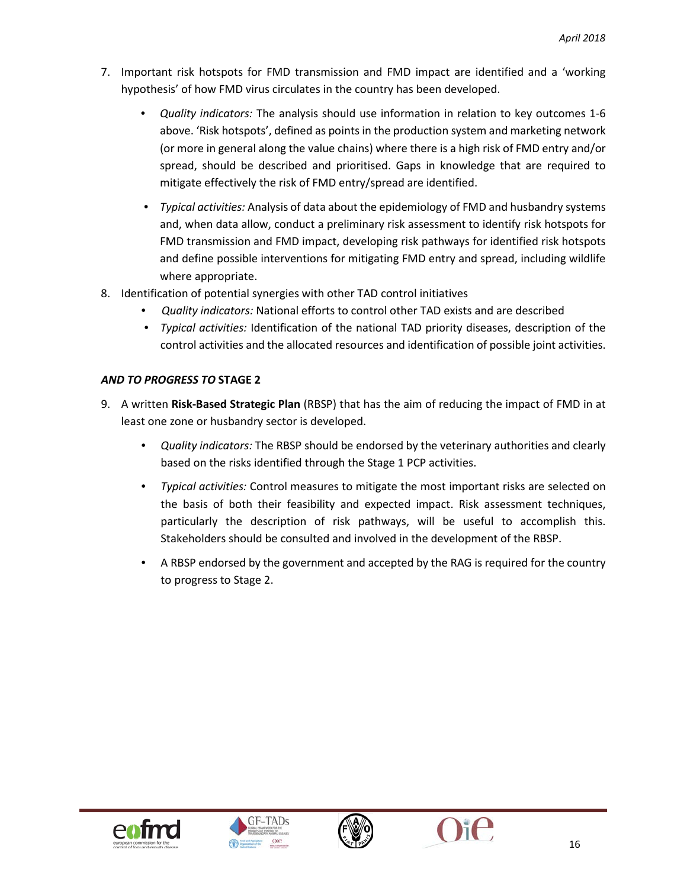- 7. Important risk hotspots for FMD transmission and FMD impact are identified and a 'working hypothesis' of how FMD virus circulates in the country has been developed.
	- *Quality indicators:* The analysis should use information in relation to key outcomes 1-6 above. 'Risk hotspots', defined as points in the production system and marketing network (or more in general along the value chains) where there is a high risk of FMD entry and/or spread, should be described and prioritised. Gaps in knowledge that are required to mitigate effectively the risk of FMD entry/spread are identified.
	- *Typical activities:* Analysis of data about the epidemiology of FMD and husbandry systems and, when data allow, conduct a preliminary risk assessment to identify risk hotspots for FMD transmission and FMD impact, developing risk pathways for identified risk hotspots and define possible interventions for mitigating FMD entry and spread, including wildlife where appropriate.
- 8. Identification of potential synergies with other TAD control initiatives
	- *Quality indicators:* National efforts to control other TAD exists and are described
	- *Typical activities:* Identification of the national TAD priority diseases, description of the control activities and the allocated resources and identification of possible joint activities.

#### *AND TO PROGRESS TO* **STAGE 2**

- 9. A written **Risk-Based Strategic Plan** (RBSP) that has the aim of reducing the impact of FMD in at least one zone or husbandry sector is developed.
	- *Quality indicators:* The RBSP should be endorsed by the veterinary authorities and clearly based on the risks identified through the Stage 1 PCP activities.
	- *Typical activities:* Control measures to mitigate the most important risks are selected on the basis of both their feasibility and expected impact. Risk assessment techniques, particularly the description of risk pathways, will be useful to accomplish this. Stakeholders should be consulted and involved in the development of the RBSP.
	- A RBSP endorsed by the government and accepted by the RAG is required for the country to progress to Stage 2.







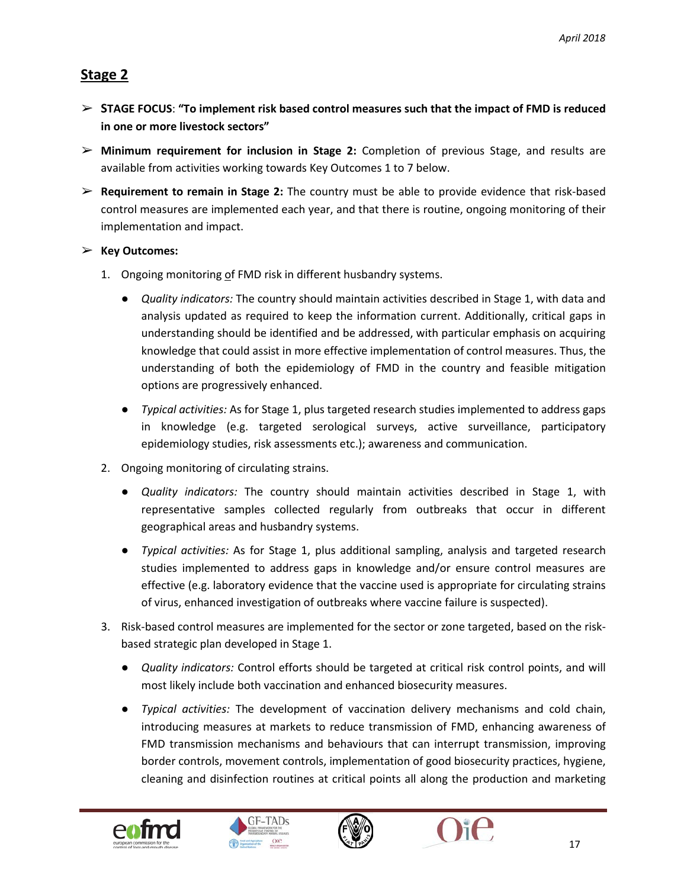## **Stage 2**

- ➢ **STAGE FOCUS**: **"To implement risk based control measures such that the impact of FMD is reduced in one or more livestock sectors"**
- ➢ **Minimum requirement for inclusion in Stage 2:** Completion of previous Stage, and results are available from activities working towards Key Outcomes 1 to 7 below.
- ➢ **Requirement to remain in Stage 2:** The country must be able to provide evidence that risk-based control measures are implemented each year, and that there is routine, ongoing monitoring of their implementation and impact.

#### ➢ **Key Outcomes:**

- 1. Ongoing monitoring of FMD risk in different husbandry systems.
	- *Quality indicators:* The country should maintain activities described in Stage 1, with data and analysis updated as required to keep the information current. Additionally, critical gaps in understanding should be identified and be addressed, with particular emphasis on acquiring knowledge that could assist in more effective implementation of control measures. Thus, the understanding of both the epidemiology of FMD in the country and feasible mitigation options are progressively enhanced.
	- *Typical activities:* As for Stage 1, plus targeted research studies implemented to address gaps in knowledge (e.g. targeted serological surveys, active surveillance, participatory epidemiology studies, risk assessments etc.); awareness and communication.
- 2. Ongoing monitoring of circulating strains.
	- *Quality indicators:* The country should maintain activities described in Stage 1, with representative samples collected regularly from outbreaks that occur in different geographical areas and husbandry systems.
	- *Typical activities:* As for Stage 1, plus additional sampling, analysis and targeted research studies implemented to address gaps in knowledge and/or ensure control measures are effective (e.g. laboratory evidence that the vaccine used is appropriate for circulating strains of virus, enhanced investigation of outbreaks where vaccine failure is suspected).
- 3. Risk-based control measures are implemented for the sector or zone targeted, based on the riskbased strategic plan developed in Stage 1.
	- *Quality indicators:* Control efforts should be targeted at critical risk control points, and will most likely include both vaccination and enhanced biosecurity measures.
	- *Typical activities:* The development of vaccination delivery mechanisms and cold chain, introducing measures at markets to reduce transmission of FMD, enhancing awareness of FMD transmission mechanisms and behaviours that can interrupt transmission, improving border controls, movement controls, implementation of good biosecurity practices, hygiene, cleaning and disinfection routines at critical points all along the production and marketing





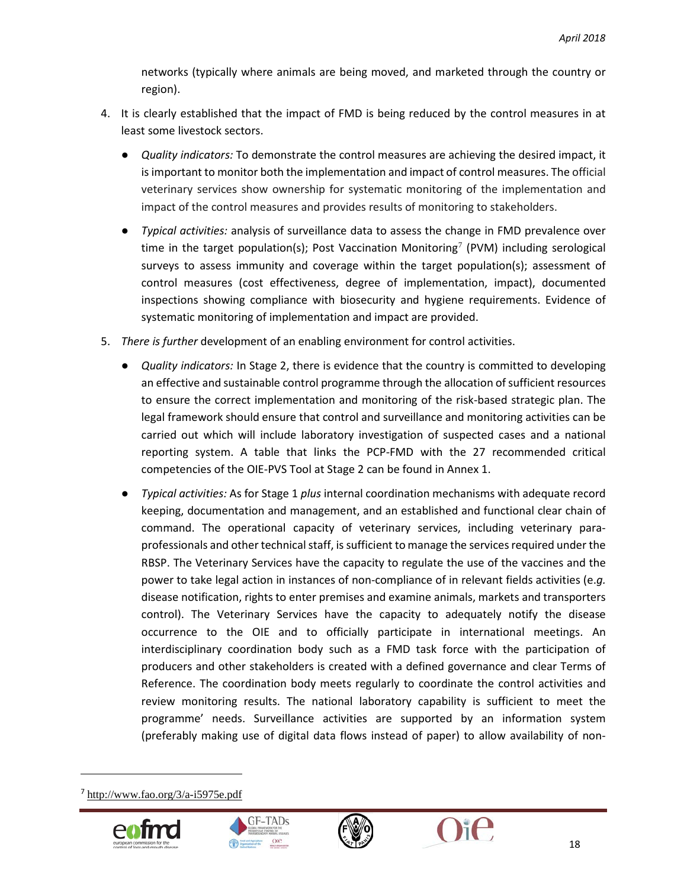networks (typically where animals are being moved, and marketed through the country or region).

- 4. It is clearly established that the impact of FMD is being reduced by the control measures in at least some livestock sectors.
	- *Quality indicators:* To demonstrate the control measures are achieving the desired impact, it is important to monitor both the implementation and impact of control measures. The official veterinary services show ownership for systematic monitoring of the implementation and impact of the control measures and provides results of monitoring to stakeholders.
	- *Typical activities:* analysis of surveillance data to assess the change in FMD prevalence over time in the target population(s); Post Vaccination Monitoring<sup>[7](#page-18-0)</sup> (PVM) including serological surveys to assess immunity and coverage within the target population(s); assessment of control measures (cost effectiveness, degree of implementation, impact), documented inspections showing compliance with biosecurity and hygiene requirements. Evidence of systematic monitoring of implementation and impact are provided.
- 5. *There is further* development of an enabling environment for control activities.
	- *Quality indicators:* In Stage 2, there is evidence that the country is committed to developing an effective and sustainable control programme through the allocation of sufficient resources to ensure the correct implementation and monitoring of the risk-based strategic plan. The legal framework should ensure that control and surveillance and monitoring activities can be carried out which will include laboratory investigation of suspected cases and a national reporting system. A table that links the PCP-FMD with the 27 recommended critical competencies of the OIE-PVS Tool at Stage 2 can be found in Annex 1.
	- *Typical activities:* As for Stage 1 *plus* internal coordination mechanisms with adequate record keeping, documentation and management, and an established and functional clear chain of command. The operational capacity of veterinary services, including veterinary paraprofessionals and other technical staff, is sufficient to manage the services required under the RBSP. The Veterinary Services have the capacity to regulate the use of the vaccines and the power to take legal action in instances of non-compliance of in relevant fields activities (e.*g.* disease notification, rights to enter premises and examine animals, markets and transporters control). The Veterinary Services have the capacity to adequately notify the disease occurrence to the OIE and to officially participate in international meetings. An interdisciplinary coordination body such as a FMD task force with the participation of producers and other stakeholders is created with a defined governance and clear Terms of Reference. The coordination body meets regularly to coordinate the control activities and review monitoring results. The national laboratory capability is sufficient to meet the programme' needs. Surveillance activities are supported by an information system (preferably making use of digital data flows instead of paper) to allow availability of non-

<span id="page-18-0"></span><sup>7</sup> <http://www.fao.org/3/a-i5975e.pdf>







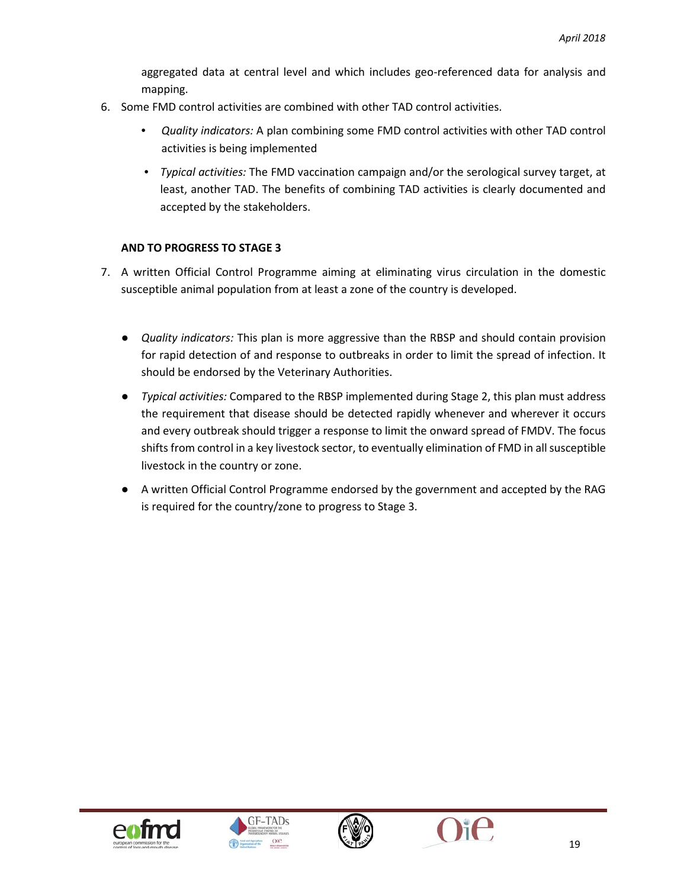aggregated data at central level and which includes geo-referenced data for analysis and mapping.

- 6. Some FMD control activities are combined with other TAD control activities.
	- *Quality indicators:* A plan combining some FMD control activities with other TAD control activities is being implemented
	- *Typical activities:* The FMD vaccination campaign and/or the serological survey target, at least, another TAD. The benefits of combining TAD activities is clearly documented and accepted by the stakeholders.

#### **AND TO PROGRESS TO STAGE 3**

- 7. A written Official Control Programme aiming at eliminating virus circulation in the domestic susceptible animal population from at least a zone of the country is developed.
	- *Quality indicators:* This plan is more aggressive than the RBSP and should contain provision for rapid detection of and response to outbreaks in order to limit the spread of infection. It should be endorsed by the Veterinary Authorities.
	- *Typical activities:* Compared to the RBSP implemented during Stage 2, this plan must address the requirement that disease should be detected rapidly whenever and wherever it occurs and every outbreak should trigger a response to limit the onward spread of FMDV. The focus shifts from control in a key livestock sector, to eventually elimination of FMD in all susceptible livestock in the country or zone.
	- A written Official Control Programme endorsed by the government and accepted by the RAG is required for the country/zone to progress to Stage 3.







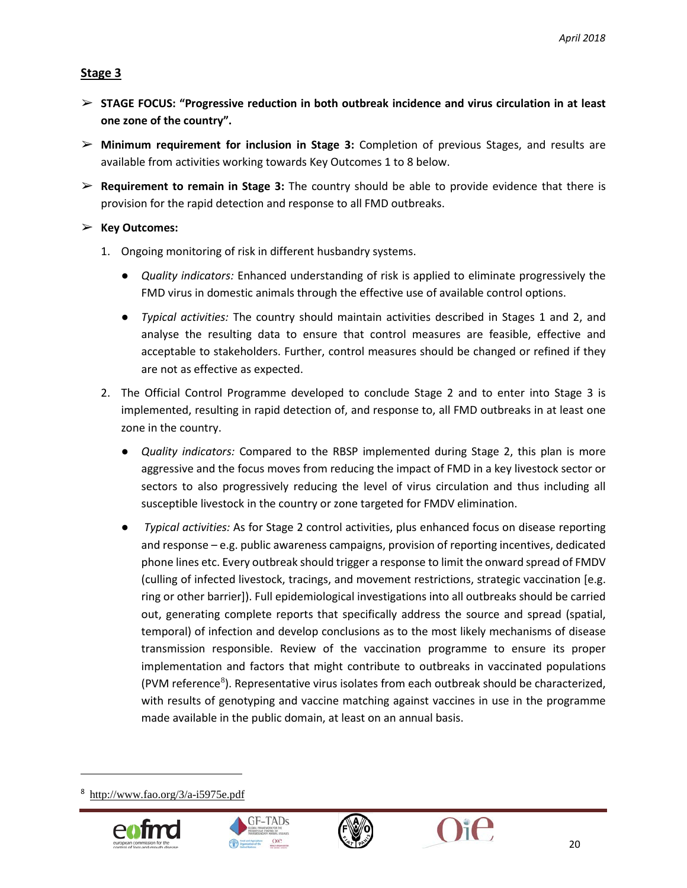#### **Stage 3**

- ➢ **STAGE FOCUS: "Progressive reduction in both outbreak incidence and virus circulation in at least one zone of the country".**
- ➢ **Minimum requirement for inclusion in Stage 3:** Completion of previous Stages, and results are available from activities working towards Key Outcomes 1 to 8 below.
- ➢ **Requirement to remain in Stage 3:** The country should be able to provide evidence that there is provision for the rapid detection and response to all FMD outbreaks.
- ➢ **Key Outcomes:**
	- 1. Ongoing monitoring of risk in different husbandry systems.
		- *Quality indicators:* Enhanced understanding of risk is applied to eliminate progressively the FMD virus in domestic animals through the effective use of available control options.
		- *Typical activities:* The country should maintain activities described in Stages 1 and 2, and analyse the resulting data to ensure that control measures are feasible, effective and acceptable to stakeholders. Further, control measures should be changed or refined if they are not as effective as expected.
	- 2. The Official Control Programme developed to conclude Stage 2 and to enter into Stage 3 is implemented, resulting in rapid detection of, and response to, all FMD outbreaks in at least one zone in the country.
		- *Quality indicators:* Compared to the RBSP implemented during Stage 2, this plan is more aggressive and the focus moves from reducing the impact of FMD in a key livestock sector or sectors to also progressively reducing the level of virus circulation and thus including all susceptible livestock in the country or zone targeted for FMDV elimination.
		- *Typical activities:* As for Stage 2 control activities, plus enhanced focus on disease reporting and response – e.g. public awareness campaigns, provision of reporting incentives, dedicated phone lines etc. Every outbreak should trigger a response to limit the onward spread of FMDV (culling of infected livestock, tracings, and movement restrictions, strategic vaccination [e.g. ring or other barrier]). Full epidemiological investigations into all outbreaks should be carried out, generating complete reports that specifically address the source and spread (spatial, temporal) of infection and develop conclusions as to the most likely mechanisms of disease transmission responsible. Review of the vaccination programme to ensure its proper implementation and factors that might contribute to outbreaks in vaccinated populations (PVM reference<sup>[8](#page-20-0)</sup>). Representative virus isolates from each outbreak should be characterized, with results of genotyping and vaccine matching against vaccines in use in the programme made available in the public domain, at least on an annual basis.

<span id="page-20-0"></span><sup>8</sup> <http://www.fao.org/3/a-i5975e.pdf>





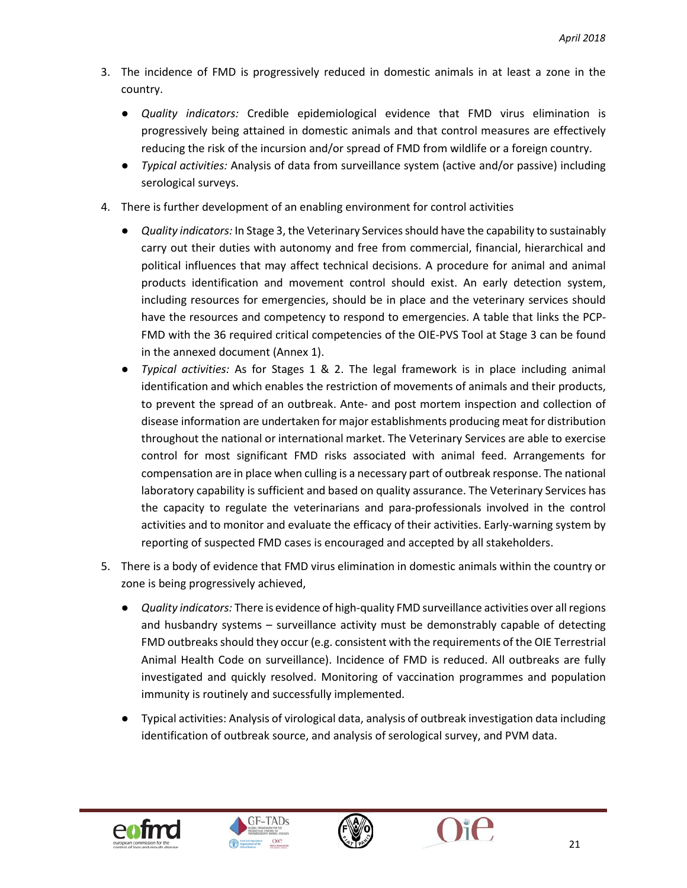- 3. The incidence of FMD is progressively reduced in domestic animals in at least a zone in the country.
	- *Quality indicators:* Credible epidemiological evidence that FMD virus elimination is progressively being attained in domestic animals and that control measures are effectively reducing the risk of the incursion and/or spread of FMD from wildlife or a foreign country.
	- *Typical activities:* Analysis of data from surveillance system (active and/or passive) including serological surveys.
- 4. There is further development of an enabling environment for control activities
	- *Quality indicators:* In Stage 3, the Veterinary Services should have the capability to sustainably carry out their duties with autonomy and free from commercial, financial, hierarchical and political influences that may affect technical decisions. A procedure for animal and animal products identification and movement control should exist. An early detection system, including resources for emergencies, should be in place and the veterinary services should have the resources and competency to respond to emergencies. A table that links the PCP-FMD with the 36 required critical competencies of the OIE-PVS Tool at Stage 3 can be found in the annexed document (Annex 1).
	- *Typical activities:* As for Stages 1 & 2. The legal framework is in place including animal identification and which enables the restriction of movements of animals and their products, to prevent the spread of an outbreak. Ante- and post mortem inspection and collection of disease information are undertaken for major establishments producing meat for distribution throughout the national or international market. The Veterinary Services are able to exercise control for most significant FMD risks associated with animal feed. Arrangements for compensation are in place when culling is a necessary part of outbreak response. The national laboratory capability is sufficient and based on quality assurance. The Veterinary Services has the capacity to regulate the veterinarians and para-professionals involved in the control activities and to monitor and evaluate the efficacy of their activities. Early-warning system by reporting of suspected FMD cases is encouraged and accepted by all stakeholders.
- 5. There is a body of evidence that FMD virus elimination in domestic animals within the country or zone is being progressively achieved,
	- *Quality indicators:* There is evidence of high-quality FMD surveillance activities over all regions and husbandry systems – surveillance activity must be demonstrably capable of detecting FMD outbreaks should they occur (e.g. consistent with the requirements of the OIE Terrestrial Animal Health Code on surveillance). Incidence of FMD is reduced. All outbreaks are fully investigated and quickly resolved. Monitoring of vaccination programmes and population immunity is routinely and successfully implemented.
	- Typical activities: Analysis of virological data, analysis of outbreak investigation data including identification of outbreak source, and analysis of serological survey, and PVM data.





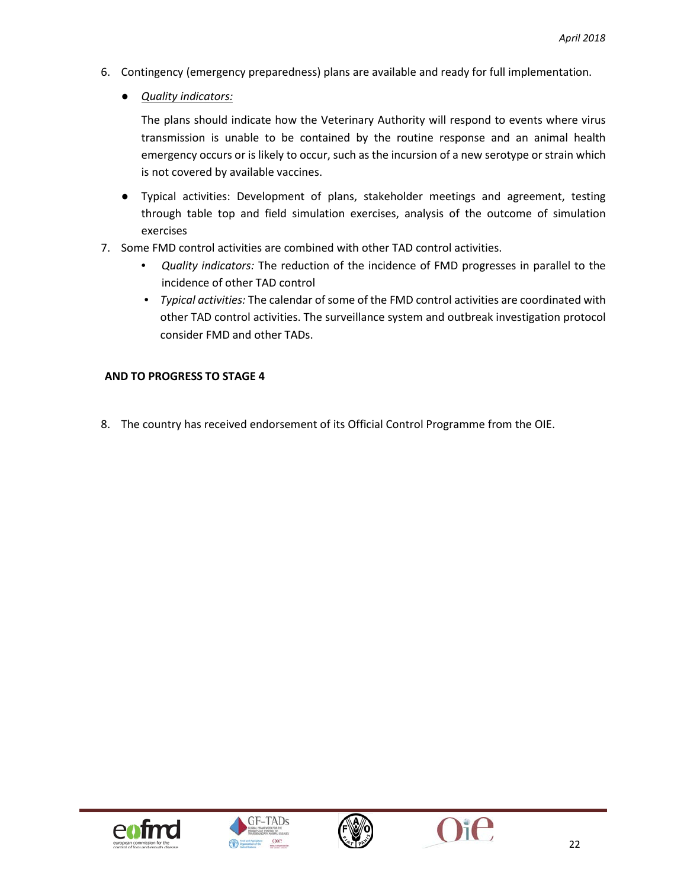- 6. Contingency (emergency preparedness) plans are available and ready for full implementation.
	- *Quality indicators:*

The plans should indicate how the Veterinary Authority will respond to events where virus transmission is unable to be contained by the routine response and an animal health emergency occurs or is likely to occur, such as the incursion of a new serotype or strain which is not covered by available vaccines.

- Typical activities: Development of plans, stakeholder meetings and agreement, testing through table top and field simulation exercises, analysis of the outcome of simulation exercises
- 7. Some FMD control activities are combined with other TAD control activities.
	- *Quality indicators:* The reduction of the incidence of FMD progresses in parallel to the incidence of other TAD control
	- *Typical activities:* The calendar of some of the FMD control activities are coordinated with other TAD control activities. The surveillance system and outbreak investigation protocol consider FMD and other TADs.

#### **AND TO PROGRESS TO STAGE 4**

8. The country has received endorsement of its Official Control Programme from the OIE.







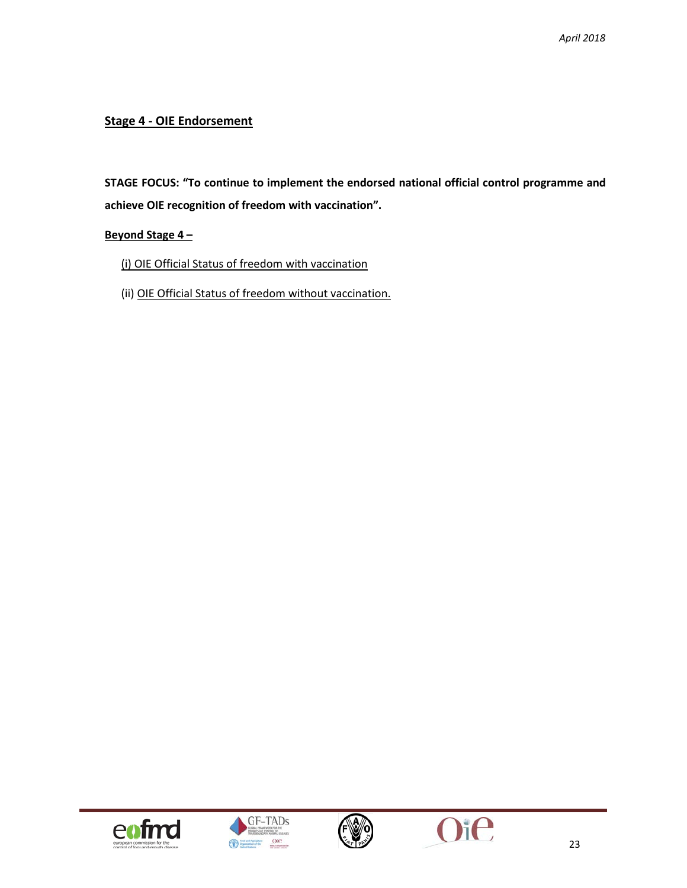#### **Stage 4 - OIE Endorsement**

**STAGE FOCUS: "To continue to implement the endorsed national official control programme and achieve OIE recognition of freedom with vaccination".**

#### **Beyond Stage 4 –**

(i) OIE Official Status of freedom with vaccination

(ii) OIE Official Status of freedom without vaccination.